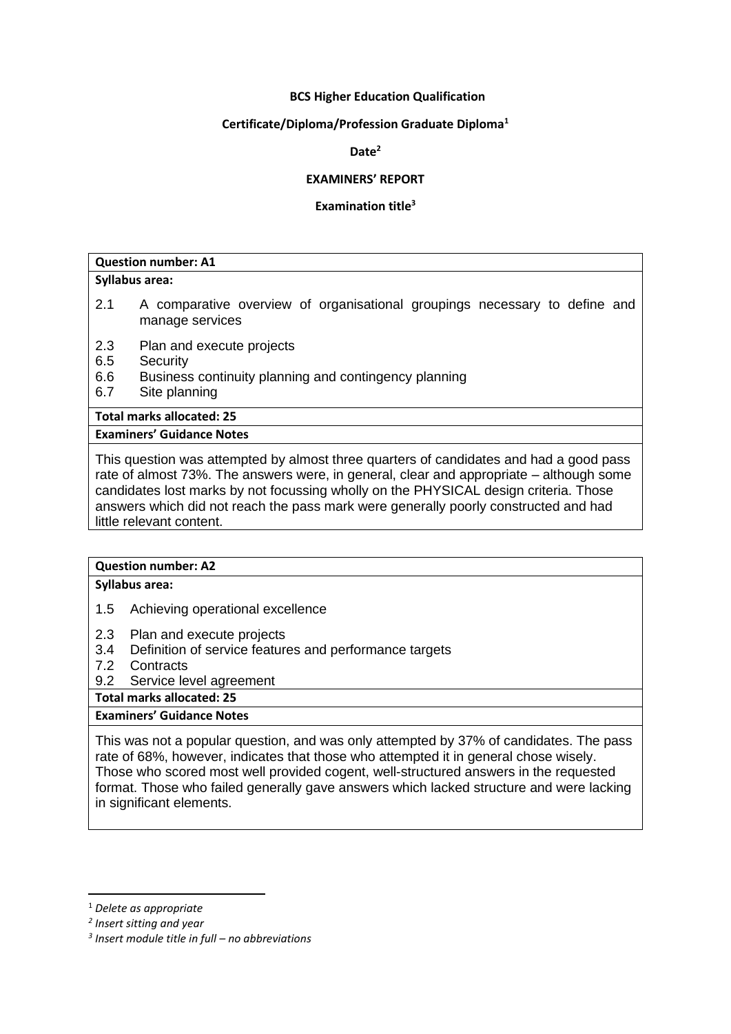### **BCS Higher Education Qualification**

## **Certificate/Diploma/Profession Graduate Diploma<sup>1</sup>**

**Date<sup>2</sup>**

### **EXAMINERS' REPORT**

### **Examination title<sup>3</sup>**

#### **Question number: A1**

**Syllabus area:**

- 2.1 A comparative overview of organisational groupings necessary to define and manage services
- 2.3 Plan and execute projects
- 6.5 Security
- 6.6 Business continuity planning and contingency planning
- 6.7 Site planning

#### **Total marks allocated: 25**

### **Examiners' Guidance Notes**

This question was attempted by almost three quarters of candidates and had a good pass rate of almost 73%. The answers were, in general, clear and appropriate – although some candidates lost marks by not focussing wholly on the PHYSICAL design criteria. Those answers which did not reach the pass mark were generally poorly constructed and had little relevant content.

#### **Question number: A2**

### **Syllabus area:**

- 1.5 Achieving operational excellence
- 2.3 Plan and execute projects
- 3.4 Definition of service features and performance targets
- 7.2 Contracts
- 9.2 Service level agreement

**Total marks allocated: 25**

### **Examiners' Guidance Notes**

This was not a popular question, and was only attempted by 37% of candidates. The pass rate of 68%, however, indicates that those who attempted it in general chose wisely. Those who scored most well provided cogent, well-structured answers in the requested format. Those who failed generally gave answers which lacked structure and were lacking in significant elements.

<sup>1</sup> *Delete as appropriate*

*<sup>2</sup> Insert sitting and year*

*<sup>3</sup> Insert module title in full – no abbreviations*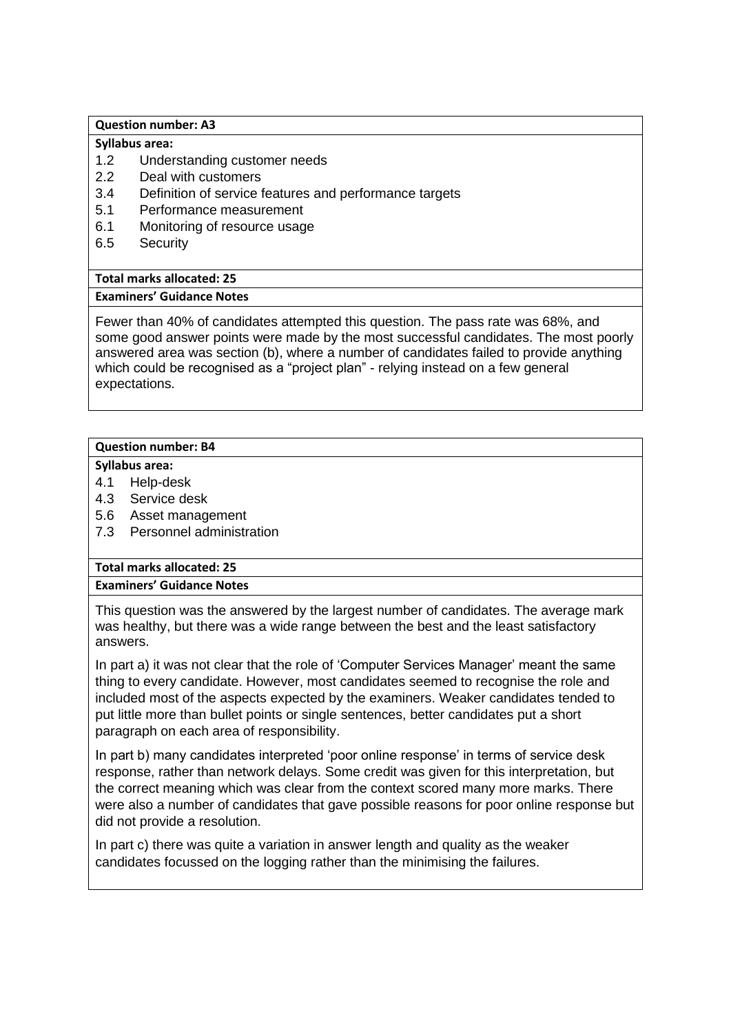**Question number: A3**

# **Syllabus area:**

- 1.2 Understanding customer needs
- 2.2 Deal with customers
- 3.4 Definition of service features and performance targets
- 5.1 Performance measurement
- 6.1 Monitoring of resource usage
- 6.5 Security

## **Total marks allocated: 25**

### **Examiners' Guidance Notes**

Fewer than 40% of candidates attempted this question. The pass rate was 68%, and some good answer points were made by the most successful candidates. The most poorly answered area was section (b), where a number of candidates failed to provide anything which could be recognised as a "project plan" - relying instead on a few general expectations.

### **Question number: B4**

### **Syllabus area:**

- 4.1 Help-desk
- 4.3 Service desk
- 5.6 Asset management
- 7.3 Personnel administration

### **Total marks allocated: 25**

# **Examiners' Guidance Notes**

This question was the answered by the largest number of candidates. The average mark was healthy, but there was a wide range between the best and the least satisfactory answers.

In part a) it was not clear that the role of 'Computer Services Manager' meant the same thing to every candidate. However, most candidates seemed to recognise the role and included most of the aspects expected by the examiners. Weaker candidates tended to put little more than bullet points or single sentences, better candidates put a short paragraph on each area of responsibility.

In part b) many candidates interpreted 'poor online response' in terms of service desk response, rather than network delays. Some credit was given for this interpretation, but the correct meaning which was clear from the context scored many more marks. There were also a number of candidates that gave possible reasons for poor online response but did not provide a resolution.

In part c) there was quite a variation in answer length and quality as the weaker candidates focussed on the logging rather than the minimising the failures.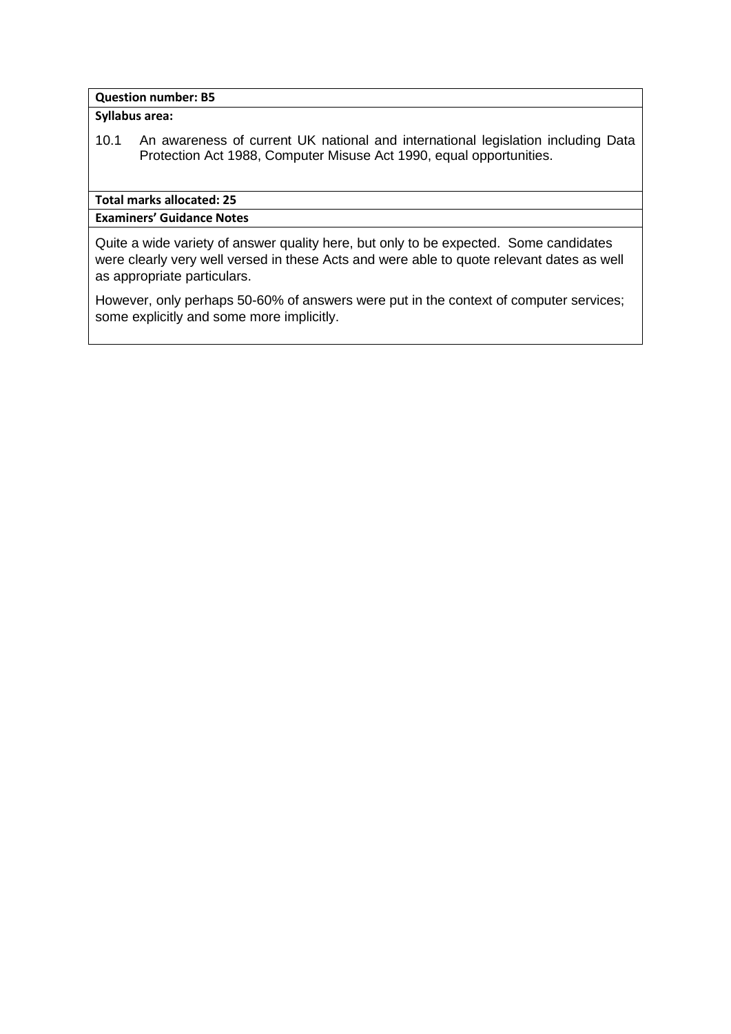### **Question number: B5**

## **Syllabus area:**

10.1 An awareness of current UK national and international legislation including Data Protection Act 1988, Computer Misuse Act 1990, equal opportunities.

# **Total marks allocated: 25**

### **Examiners' Guidance Notes**

Quite a wide variety of answer quality here, but only to be expected. Some candidates were clearly very well versed in these Acts and were able to quote relevant dates as well as appropriate particulars.

However, only perhaps 50-60% of answers were put in the context of computer services; some explicitly and some more implicitly.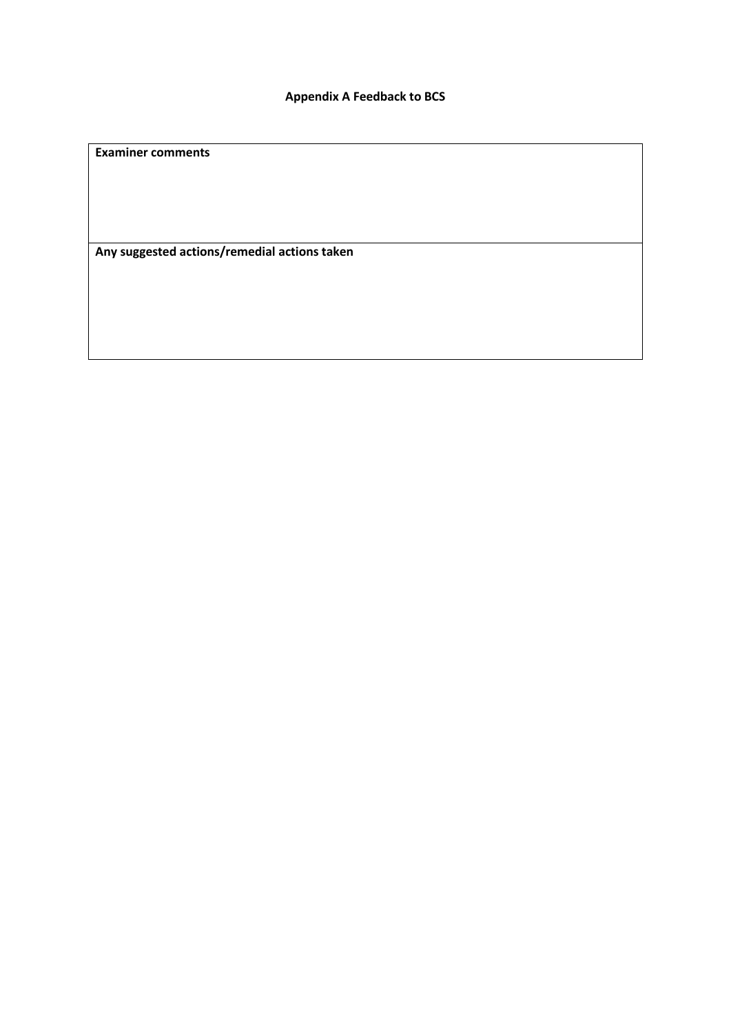**Examiner comments**

**Any suggested actions/remedial actions taken**